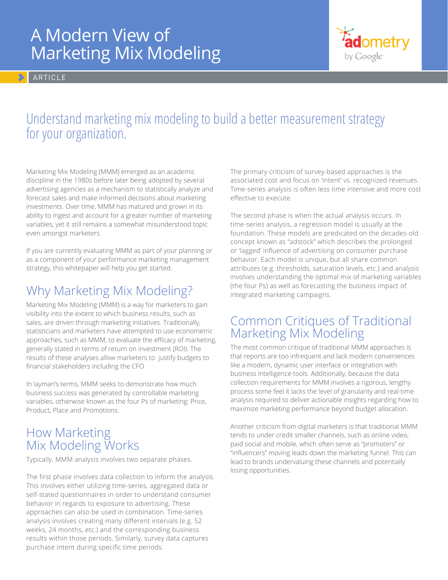# A Modern View of Marketing Mix Modeling

**ARTICLE** 



# Understand marketing mix modeling to build a better measurement strategy for your organization.

Marketing Mix Modeling (MMM) emerged as an academic discipline in the 1980s before later being adopted by several advertising agencies as a mechanism to statistically analyze and forecast sales and make informed decisions about marketing investments. Over time, MMM has matured and grown in its ability to ingest and account for a greater number of marketing variables, yet it still remains a somewhat misunderstood topic even amongst marketers.

If you are currently evaluating MMM as part of your planning or as a component of your performance marketing management strategy, this whitepaper will help you get started.

# Why Marketing Mix Modeling?

Marketing Mix Modeling (MMM) is a way for marketers to gain visibility into the extent to which business results, such as sales, are driven through marketing initiatives. Traditionally, statisticians and marketers have attempted to use econometric approaches, such as MMM, to evaluate the efficacy of marketing, generally stated in terms of return on investment (ROI). The results of these analyses allow marketers to justify budgets to financial stakeholders including the CFO

In layman's terms, MMM seeks to demonstrate how much business success was generated by controllable marketing variables, otherwise known as the four Ps of marketing: Price, Product, Place and Promotions.

#### How Marketing Mix Modeling Works

Typically, MMM analysis involves two separate phases.

The first phase involves data collection to inform the analysis. This involves either utilizing time-series, aggregated data or self-stated questionnaires in order to understand consumer behavior in regards to exposure to advertising. These approaches can also be used in combination. Time-series analysis involves creating many different intervals (e.g. 52 weeks, 24 months, etc.) and the corresponding business results within those periods. Similarly, survey data captures purchase intent during specific time periods.

The primary criticism of survey-based approaches is the associated cost and focus on 'intent' vs. recognized revenues. Time-series analysis is often less time intensive and more cost effective to execute.

The second phase is when the actual analysis occurs. In time-series analysis, a regression model is usually at the foundation. These models are predicated on the decades-old concept known as "adstock" which describes the prolonged or 'lagged' influence of advertising on consumer purchase behavior. Each model is unique, but all share common attributes (e.g. thresholds, saturation levels, etc.) and analysis involves understanding the optimal mix of marketing variables (the four Ps) as well as forecasting the business impact of integrated marketing campaigns.

#### Common Critiques of Traditional Marketing Mix Modeling

The most common critique of traditional MMM approaches is that reports are too infrequent and lack modern conveniences like a modern, dynamic user interface or integration with business intelligence tools. Additionally, because the data collection requirements for MMM involves a rigorous, lengthy process some feel it lacks the level of granularity and real-time analysis required to deliver actionable insights regarding how to maximize marketing performance beyond budget allocation.

Another criticism from digital marketers is that traditional MMM tends to under credit smaller channels, such as online video, paid social and mobile, which often serve as "promoters" or "influencers" moving leads down the marketing funnel. This can lead to brands undervaluing these channels and potentially losing opportunities.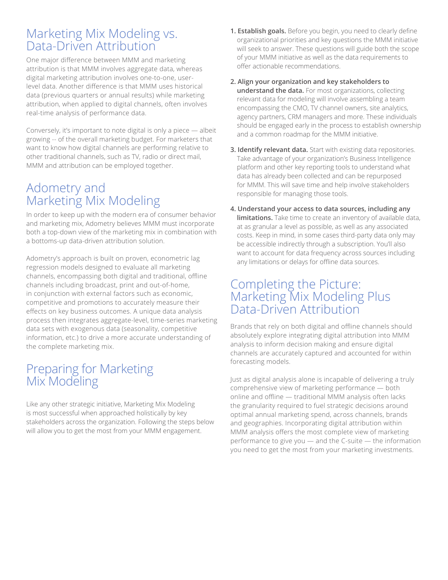#### Marketing Mix Modeling vs. Data-Driven Attribution

One major difference between MMM and marketing attribution is that MMM involves aggregate data, whereas digital marketing attribution involves one-to-one, userlevel data. Another difference is that MMM uses historical data (previous quarters or annual results) while marketing attribution, when applied to digital channels, often involves real-time analysis of performance data.

Conversely, it's important to note digital is only a piece — albeit growing -- of the overall marketing budget. For marketers that want to know how digital channels are performing relative to other traditional channels, such as TV, radio or direct mail, MMM and attribution can be employed together.

## Adometry and Marketing Mix Modeling

In order to keep up with the modern era of consumer behavior and marketing mix, Adometry believes MMM must incorporate both a top-down view of the marketing mix in combination with a bottoms-up data-driven attribution solution.

Adometry's approach is built on proven, econometric lag regression models designed to evaluate all marketing channels, encompassing both digital and traditional, offline channels including broadcast, print and out-of-home, in conjunction with external factors such as economic, competitive and promotions to accurately measure their effects on key business outcomes. A unique data analysis process then integrates aggregate-level, time-series marketing data sets with exogenous data (seasonality, competitive information, etc.) to drive a more accurate understanding of the complete marketing mix.

#### Preparing for Marketing Mix Modeling

Like any other strategic initiative, Marketing Mix Modeling is most successful when approached holistically by key stakeholders across the organization. Following the steps below will allow you to get the most from your MMM engagement.

- **1. Establish goals.** Before you begin, you need to clearly define organizational priorities and key questions the MMM initiative will seek to answer. These questions will guide both the scope of your MMM initiative as well as the data requirements to offer actionable recommendations.
- **2. Align your organization and key stakeholders to understand the data.** For most organizations, collecting relevant data for modeling will involve assembling a team encompassing the CMO, TV channel owners, site analytics, agency partners, CRM managers and more. These individuals should be engaged early in the process to establish ownership and a common roadmap for the MMM initiative.
- **3. Identify relevant data.** Start with existing data repositories. Take advantage of your organization's Business Intelligence platform and other key reporting tools to understand what data has already been collected and can be repurposed for MMM. This will save time and help involve stakeholders responsible for managing those tools.
- **4. Understand your access to data sources, including any limitations.** Take time to create an inventory of available data, at as granular a level as possible, as well as any associated costs. Keep in mind, in some cases third-party data only may be accessible indirectly through a subscription. You'll also want to account for data frequency across sources including any limitations or delays for offline data sources.

#### Completing the Picture: Marketing Mix Modeling Plus Data-Driven Attribution

Brands that rely on both digital and offline channels should absolutely explore integrating digital attribution into MMM analysis to inform decision making and ensure digital channels are accurately captured and accounted for within forecasting models.

Just as digital analysis alone is incapable of delivering a truly comprehensive view of marketing performance — both online and offline — traditional MMM analysis often lacks the granularity required to fuel strategic decisions around optimal annual marketing spend, across channels, brands and geographies. Incorporating digital attribution within MMM analysis offers the most complete view of marketing performance to give you — and the C-suite — the information you need to get the most from your marketing investments.